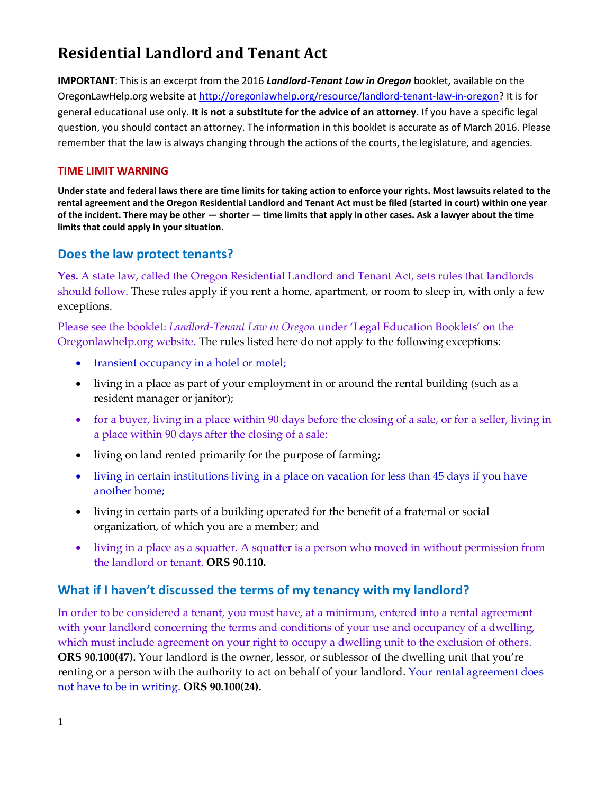# **Residential Landlord and Tenant Act**

**IMPORTANT**: This is an excerpt from the 2016 *Landlord-Tenant Law in Oregon* booklet, available on the OregonLawHelp.org website a[t http://oregonlawhelp.org/resource/landlord-tenant-law-in-oregon?](http://oregonlawhelp.org/resource/landlord-tenant-law-in-oregon) It is for general educational use only. **It is not a substitute for the advice of an attorney**. If you have a specific legal question, you should contact an attorney. The information in this booklet is accurate as of March 2016. Please remember that the law is always changing through the actions of the courts, the legislature, and agencies.

#### **TIME LIMIT WARNING**

**Under state and federal laws there are time limits for taking action to enforce your rights. Most lawsuits related to the rental agreement and the Oregon Residential Landlord and Tenant Act must be filed (started in court) within one year of the incident. There may be other — shorter — time limits that apply in other cases. Ask a lawyer about the time limits that could apply in your situation.** 

#### **Does the law protect tenants?**

**Yes.** A state law, called the Oregon Residential Landlord and Tenant Act, sets rules that landlords should follow. These rules apply if you rent a home, apartment, or room to sleep in, with only a few exceptions.

Please see the booklet: *Landlord-Tenant Law in Oregon* under 'Legal Education Booklets' on the Oregonlawhelp.org website. The rules listed here do not apply to the following exceptions:

- transient occupancy in a hotel or motel;
- living in a place as part of your employment in or around the rental building (such as a resident manager or janitor);
- for a buyer, living in a place within 90 days before the closing of a sale, or for a seller, living in a place within 90 days after the closing of a sale;
- living on land rented primarily for the purpose of farming;
- living in certain institutions living in a place on vacation for less than 45 days if you have another home;
- living in certain parts of a building operated for the benefit of a fraternal or social organization, of which you are a member; and
- living in a place as a squatter. A squatter is a person who moved in without permission from the landlord or tenant. **ORS 90.110.**

#### **What if I haven't discussed the terms of my tenancy with my landlord?**

In order to be considered a tenant, you must have, at a minimum, entered into a rental agreement with your landlord concerning the terms and conditions of your use and occupancy of a dwelling, which must include agreement on your right to occupy a dwelling unit to the exclusion of others. **ORS 90.100(47).** Your landlord is the owner, lessor, or sublessor of the dwelling unit that you're renting or a person with the authority to act on behalf of your landlord. Your rental agreement does not have to be in writing. **ORS 90.100(24).**